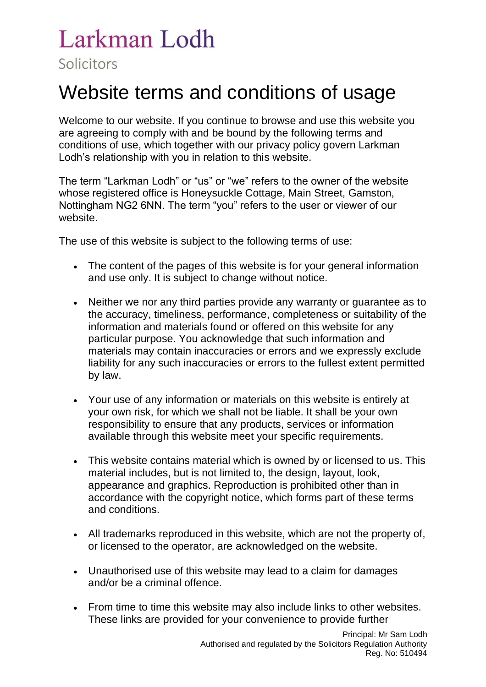## Larkman Lodh

## Solicitors

## Website terms and conditions of usage

Welcome to our website. If you continue to browse and use this website you are agreeing to comply with and be bound by the following terms and conditions of use, which together with our privacy policy govern Larkman Lodh's relationship with you in relation to this website.

The term "Larkman Lodh" or "us" or "we" refers to the owner of the website whose registered office is Honeysuckle Cottage, Main Street, Gamston, Nottingham NG2 6NN. The term "you" refers to the user or viewer of our website.

The use of this website is subject to the following terms of use:

- The content of the pages of this website is for your general information and use only. It is subject to change without notice.
- Neither we nor any third parties provide any warranty or guarantee as to the accuracy, timeliness, performance, completeness or suitability of the information and materials found or offered on this website for any particular purpose. You acknowledge that such information and materials may contain inaccuracies or errors and we expressly exclude liability for any such inaccuracies or errors to the fullest extent permitted by law.
- Your use of any information or materials on this website is entirely at your own risk, for which we shall not be liable. It shall be your own responsibility to ensure that any products, services or information available through this website meet your specific requirements.
- This website contains material which is owned by or licensed to us. This material includes, but is not limited to, the design, layout, look, appearance and graphics. Reproduction is prohibited other than in accordance with the copyright notice, which forms part of these terms and conditions.
- All trademarks reproduced in this website, which are not the property of, or licensed to the operator, are acknowledged on the website.
- Unauthorised use of this website may lead to a claim for damages and/or be a criminal offence.
- From time to time this website may also include links to other websites. These links are provided for your convenience to provide further